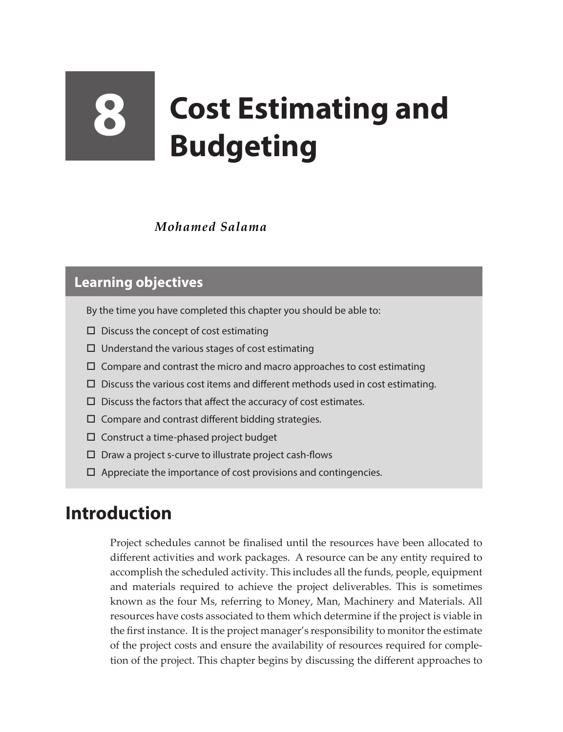# **8 Cost Estimating and Budgeting**

### *Mohamed Salama*

## **Learning objectives**

- By the time you have completed this chapter you should be able to:
- $\square$  Discuss the concept of cost estimating
- $\Box$  Understand the various stages of cost estimating
- $\Box$  Compare and contrast the micro and macro approaches to cost estimating
- $\square$  Discuss the various cost items and different methods used in cost estimating.
- $\square$  Discuss the factors that affect the accuracy of cost estimates.
- $\square$  Compare and contrast different bidding strategies.
- $\square$  Construct a time-phased project budget
- $\square$  Draw a project s-curve to illustrate project cash-flows
- $\Box$  Appreciate the importance of cost provisions and contingencies.

# **Introduction**

Project schedules cannot be finalised until the resources have been allocated to different activities and work packages. A resource can be any entity required to accomplish the scheduled activity. This includes all the funds, people, equipment and materials required to achieve the project deliverables. This is sometimes known as the four Ms, referring to Money, Man, Machinery and Materials. All resources have costs associated to them which determine if the project is viable in the first instance. It is the project manager's responsibility to monitor the estimate of the project costs and ensure the availability of resources required for completion of the project. This chapter begins by discussing the different approaches to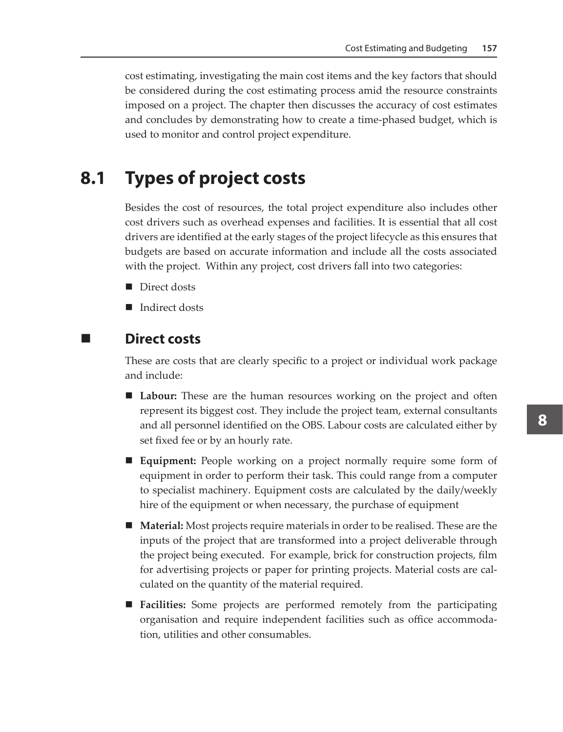cost estimating, investigating the main cost items and the key factors that should be considered during the cost estimating process amid the resource constraints imposed on a project. The chapter then discusses the accuracy of cost estimates and concludes by demonstrating how to create a time-phased budget, which is used to monitor and control project expenditure.

# **8.1 Types of project costs**

Besides the cost of resources, the total project expenditure also includes other cost drivers such as overhead expenses and facilities. It is essential that all cost drivers are identified at the early stages of the project lifecycle as this ensures that budgets are based on accurate information and include all the costs associated with the project. Within any project, cost drivers fall into two categories:

- Direct dosts
- Indirect dosts

#### **Direct costs**

These are costs that are clearly specific to a project or individual work package and include:

- **Labour:** These are the human resources working on the project and often represent its biggest cost. They include the project team, external consultants and all personnel identified on the OBS. Labour costs are calculated either by set fixed fee or by an hourly rate.
- **Equipment:** People working on a project normally require some form of equipment in order to perform their task. This could range from a computer to specialist machinery. Equipment costs are calculated by the daily/weekly hire of the equipment or when necessary, the purchase of equipment
- **Material:** Most projects require materials in order to be realised. These are the inputs of the project that are transformed into a project deliverable through the project being executed. For example, brick for construction projects, film for advertising projects or paper for printing projects. Material costs are calculated on the quantity of the material required.
- **Facilities:** Some projects are performed remotely from the participating organisation and require independent facilities such as office accommodation, utilities and other consumables.